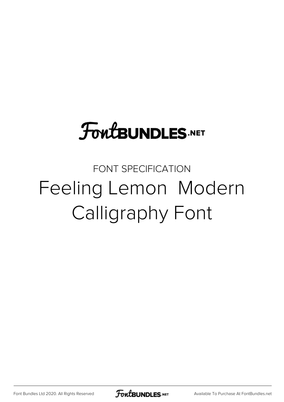## **FoutBUNDLES.NET**

## FONT SPECIFICATION Feeling Lemon Modern Calligraphy Font

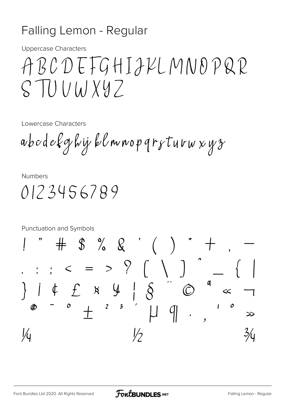## Falling Lemon - Regular

**Uppercase Characters** 

## ABCDEFGHIJKLMNOPQR  $STUUWXYZ$

Lowercase Characters

abodekghij klmnopqrsturwxyz

**Numbers** 

0123456789

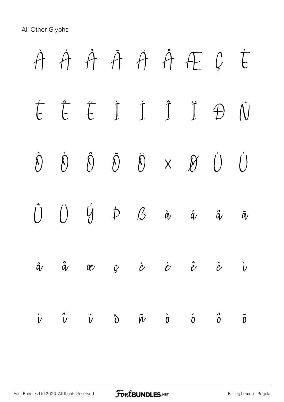All Other Glyphs

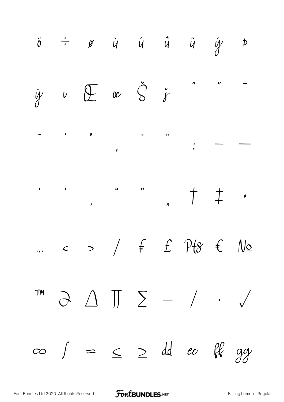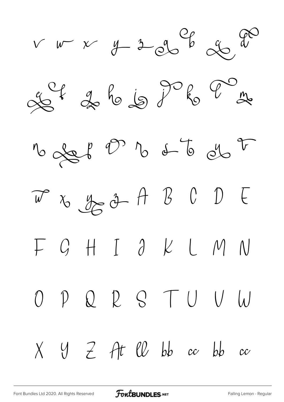







O P Q R S T U U W

 $X$  Y Z At  $\ell\ell$  bb  $cc$  bb  $cc$